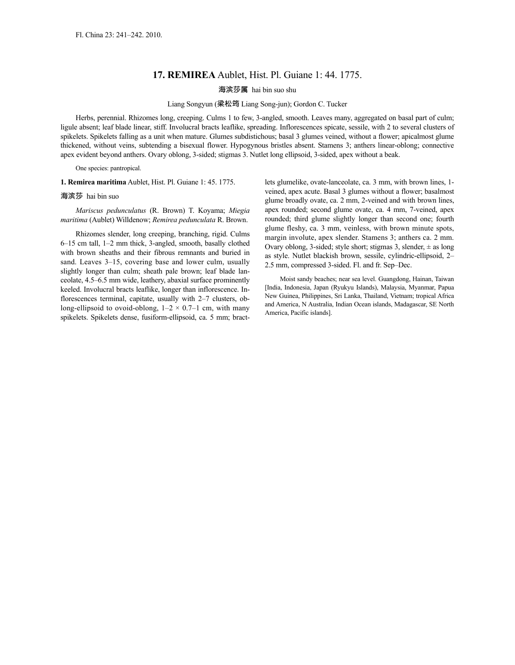## **17. REMIREA** Aublet, Hist. Pl. Guiane 1: 44. 1775.

海滨莎属 hai bin suo shu

## Liang Songyun (梁松筠 Liang Song-jun); Gordon C. Tucker

Herbs, perennial. Rhizomes long, creeping. Culms 1 to few, 3-angled, smooth. Leaves many, aggregated on basal part of culm; ligule absent; leaf blade linear, stiff. Involucral bracts leaflike, spreading. Inflorescences spicate, sessile, with 2 to several clusters of spikelets. Spikelets falling as a unit when mature. Glumes subdistichous; basal 3 glumes veined, without a flower; apicalmost glume thickened, without veins, subtending a bisexual flower. Hypogynous bristles absent. Stamens 3; anthers linear-oblong; connective apex evident beyond anthers. Ovary oblong, 3-sided; stigmas 3. Nutlet long ellipsoid, 3-sided, apex without a beak.

One species: pantropical.

**1. Remirea maritima** Aublet, Hist. Pl. Guiane 1: 45. 1775.

## 海滨莎 hai bin suo

*Mariscus pedunculatus* (R. Brown) T. Koyama; *Miegia maritima* (Aublet) Willdenow; *Remirea pedunculata* R. Brown.

Rhizomes slender, long creeping, branching, rigid. Culms 6–15 cm tall, 1–2 mm thick, 3-angled, smooth, basally clothed with brown sheaths and their fibrous remnants and buried in sand. Leaves 3–15, covering base and lower culm, usually slightly longer than culm; sheath pale brown; leaf blade lanceolate, 4.5–6.5 mm wide, leathery, abaxial surface prominently keeled. Involucral bracts leaflike, longer than inflorescence. Inflorescences terminal, capitate, usually with 2–7 clusters, oblong-ellipsoid to ovoid-oblong,  $1-2 \times 0.7-1$  cm, with many spikelets. Spikelets dense, fusiform-ellipsoid, ca. 5 mm; bractlets glumelike, ovate-lanceolate, ca. 3 mm, with brown lines, 1 veined, apex acute. Basal 3 glumes without a flower; basalmost glume broadly ovate, ca. 2 mm, 2-veined and with brown lines, apex rounded; second glume ovate, ca. 4 mm, 7-veined, apex rounded; third glume slightly longer than second one; fourth glume fleshy, ca. 3 mm, veinless, with brown minute spots, margin involute, apex slender. Stamens 3; anthers ca. 2 mm. Ovary oblong, 3-sided; style short; stigmas 3, slender,  $\pm$  as long as style. Nutlet blackish brown, sessile, cylindric-ellipsoid, 2– 2.5 mm, compressed 3-sided. Fl. and fr. Sep–Dec.

Moist sandy beaches; near sea level. Guangdong, Hainan, Taiwan [India, Indonesia, Japan (Ryukyu Islands), Malaysia, Myanmar, Papua New Guinea, Philippines, Sri Lanka, Thailand, Vietnam; tropical Africa and America, N Australia, Indian Ocean islands, Madagascar, SE North America, Pacific islands].